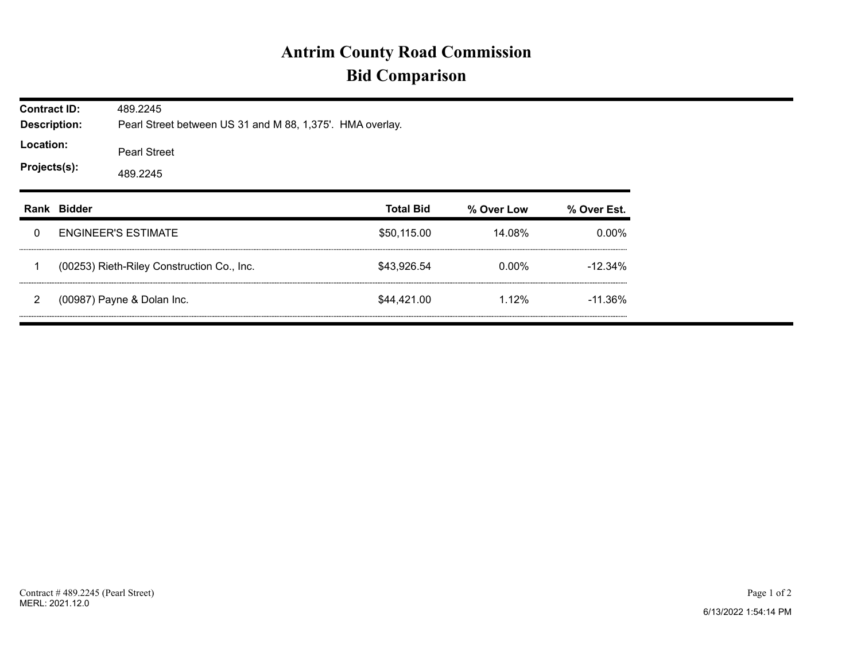## **Antrim County Road Commission Bid Comparison**

| <b>Contract ID:</b><br><b>Description:</b><br>Location:<br>Projects(s): |             | 489.2245<br>Pearl Street between US 31 and M 88, 1,375'. HMA overlay. |                  |            |             |  |  |  |  |
|-------------------------------------------------------------------------|-------------|-----------------------------------------------------------------------|------------------|------------|-------------|--|--|--|--|
|                                                                         |             | <b>Pearl Street</b><br>489.2245                                       |                  |            |             |  |  |  |  |
|                                                                         | Rank Bidder |                                                                       | <b>Total Bid</b> | % Over Low | % Over Est. |  |  |  |  |
| 0                                                                       |             | <b>ENGINEER'S ESTIMATE</b>                                            | \$50,115.00      | 14.08%     | $0.00\%$    |  |  |  |  |
|                                                                         |             | (00253) Rieth-Riley Construction Co., Inc.                            | \$43,926.54      | 0.00%      | $-12.34\%$  |  |  |  |  |
| 2                                                                       |             | (00987) Payne & Dolan Inc.                                            | \$44.421.00      | 1.12%      | $-11.36\%$  |  |  |  |  |